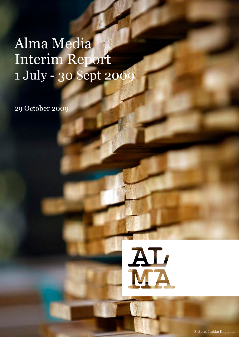# Alma Media Interim Report 1 July - 30 Sept 2009

29 October 2009

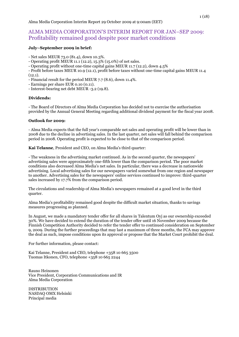# ALMA MEDIA CORPORATION'S INTERIM REPORT FOR JAN–SEP 2009: Profitability remained good despite poor market conditions

# **July–September 2009 in brief:**

- Net sales MEUR 73.0 (81.4), down 10.3%.
- Operating profit MEUR 11.1 (12.2), 15.3% (15.0%) of net sales.
- Operating profit without one-time capital gains MEUR 11.7 (12.2), down 4.5%
- Profit before taxes MEUR 10.9 (12.1), profit before taxes without one-time capital gains MEUR 11.4  $(12.1).$
- Financial result for the period MEUR 7.7 (8.6), down 11.4%.
- Earnings per share EUR 0.10 (0.11).
- Interest-bearing net debt MEUR -3.2 (19.8).

# **Dividends:**

- The Board of Directors of Alma Media Corporation has decided not to exercise the authorisation provided by the Annual General Meeting regarding additional dividend payment for the fiscal year 2008.

# **Outlook for 2009:**

- Alma Media expects that the full year's comparable net sales and operating profit will be lower than in 2008 due to the decline in advertising sales. In the last quarter, net sales will fall behind the comparison period in 2008. Operating profit is expected to be close to that of the comparison period.

**Kai Telanne**, President and CEO, on Alma Media's third quarter:

- The weakness in the advertising market continued. As in the second quarter, the newspapers' advertising sales were approximately one-fifth lower than the comparison period. The poor market conditions also decreased Alma Media's net sales. In particular, there was a decrease in nationwide advertising. Local advertising sales for our newspapers varied somewhat from one region and newspaper to another. Advertising sales for the newspapers' online services continued to improve: third-quarter sales increased by 17.7% from the comparison period.

The circulations and readership of Alma Media's newspapers remained at a good level in the third quarter.

Alma Media's profitability remained good despite the difficult market situation, thanks to savings measures progressing as planned.

In August, we made a mandatory tender offer for all shares in Talentum Oyj as our ownership exceeded 30%. We have decided to extend the duration of the tender offer until 16 November 2009 because the Finnish Competition Authority decided to refer the tender offer to continued consideration on September 9, 2009. During the further proceedings that may last a maximum of three months, the FCA may approve the deal as such, impose conditions upon its approval or propose that the Market Court prohibit the deal.

For further information, please contact:

Kai Telanne, President and CEO, telephone +358 10 665 3500 Tuomas Itkonen, CFO, telephone +358 10 665 2244

Rauno Heinonen Vice President, Corporation Communications and IR Alma Media Corporation

DISTRIBUTION NASDAQ OMX Helsinki Principal media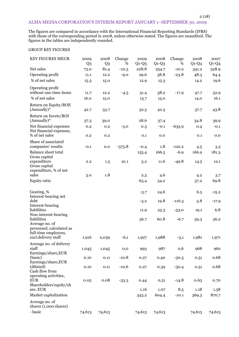# ALMA MEDIA CORPORATION'S INTERIM REPORT JANUARY 1–SEPTEMBER 30, 2009

The figures are compared in accordance with the International Financial Reporting Standards (IFRS) with those of the corresponding period in 2008, unless otherwise stated. The figures are unaudited. The figures in the tables are independently rounded.

# GROUP KEY FIGURES

| <b>KEY FIGURES MEUR</b>                                                    | 2009<br>Q <sub>3</sub> | 2008<br>$Q_3$ | Change<br>% | 2009<br>$Q1-Q3$ | 2008<br>$Q1-Q3$ | Change<br>%    | 2008<br>$Q1-Q4$ | 2007<br>$Q1-Q4$ |
|----------------------------------------------------------------------------|------------------------|---------------|-------------|-----------------|-----------------|----------------|-----------------|-----------------|
| Net sales                                                                  | 73.0                   | 81.4          | $-10.3$     | 228.8           | 254.7           | $-10.2$        | 341.2           | 328.9           |
| Operating profit                                                           | 11.1                   | 12.2          | $-9.0$      | 29.6            | 38.8            | $-23.8$        | 48.3            | 64.4            |
| % of net sales                                                             | 15.3                   | 15.0          |             | 12.9            | 15.3            |                | 14.2            | 19.6            |
| Operating profit<br>without one-time items                                 | 11.7                   | 12.2          | $-4.5$      | 31.4            | 38.2            | $-17.9$        | 47.7            | 52.9            |
| % of net sales                                                             | 16.0                   | 15.0          |             | 13.7            | 15.0            |                | 14.0            | 16.1            |
| Return on Equity/ROE<br>$(Annually)*$                                      | 42.7                   | 53.7          |             | 32.5            | 42.3            |                | 37.7            | 43.8            |
| Return on Invets/ROI<br>(Annually)*                                        | 37.3                   | 39.0          |             | 28.6            | 37.4            |                | 34.8            | 39.9            |
| Net financial expenses<br>Net financial expenses,                          | 0.2                    | 0.2           | $-3.0$      | 0.3             | $-0.1$          | $-635.9$       | 0.4             | $-0.1$          |
| % of net sales                                                             | 0.2                    | 0.2           |             | 0.1             | 0.0             |                | 0.1             | 0.0             |
| Share of associated<br>companies' results                                  | $-0.1$                 | 0.0           | $-575.8$    | $-0.4$          | 1.8             | $-122.2$       | 4.5             | 3.5             |
| <b>Balance sheet total</b>                                                 |                        |               |             | 155.4           | 166.5           | $-6.9$         | 166.9           | 181.3           |
| Gross capital<br>expenditure                                               | 2.2                    | 1.5           | 91.1        | 5.2             | 11.6            | $-49.8$        | 14.5            | 12.1            |
| Gross capital<br>expenditure, % of net<br>sales                            | 3.0                    | 1.8           |             | 2.3             | 4.6             |                | 4.2             | 3.7             |
| <b>Equity ratio</b>                                                        |                        |               |             | 63.4            | 54.2            |                | 57.2            | 69.8            |
|                                                                            |                        |               |             |                 |                 |                |                 |                 |
| Gearing, %<br>Interest-bearing net                                         |                        |               |             | $-3.7$          | 24.6            |                | 6.5             | $-15.2$         |
| debt<br>Interest-bearing                                                   |                        |               |             | $-3.2$          | 19.8            | $-116.3$       | 5.8             | $-17.9$         |
| liabilities<br>Non-interest-bearing                                        |                        |               |             | 11.9            | 25.3            | $-53.0$        | 19.1            | 6.8             |
| liabilities<br>Average no. of                                              |                        |               |             | 56.7            | 60.8            | $-6.7$         | 59.3            | 56.2            |
| personnel, calculated as                                                   |                        |               |             |                 |                 |                |                 |                 |
| full-time employees,<br>excl.delivery staff                                | 1,916                  | 2,039         | $-6,1$      | 1,927           | 1,988           | $-3,1$         | 1,981           | 1,971           |
| Average no. of delivery<br>staff                                           | 1,045                  | 1,045         | $_{0,0}$    | 993             | 987             | 0,6            | 968             | 962             |
| Earnings/share, EUR<br>(basic)                                             | 0.10                   | 0.11          | $-10.8$     | 0.27            | 0.40            | $-30.5$        | 0.51            | 0.68            |
| Earnings/share, EUR<br>(diluted)<br>Cash flow from                         | 0.10                   | 0.11          | $-10.6$     | 0.27            | 0.39            | $-30.4$        | 0.51            | 0.68            |
| operating activities,<br><b>EUR</b><br>Shareholders' equity/sh<br>are, EUR | 0.05                   | 0.08          | $-33.3$     | 0.44<br>1.16    | 0.51<br>1.07    | $-14.8$<br>8.5 | 0.63<br>1.18    | 0.70            |
| Market capitalization                                                      |                        |               |             | 543.2           | 604.4           | $-10.1$        | 369.3           | 1.58<br>870.7   |
| Average no. of                                                             |                        |               |             |                 |                 |                |                 |                 |
| shares (1,000 shares)                                                      |                        |               |             |                 |                 |                |                 |                 |
| - basic                                                                    | 74,613                 | 74,613        |             | 74,613          | 74,613          |                | 74,613          | 74,613          |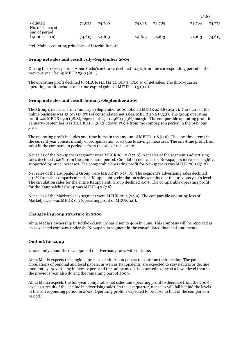| - diluted<br>No. of shares at             | 74,673 | 74,769 | 74,635 74,789 |        | 74,764 74,773 |        |
|-------------------------------------------|--------|--------|---------------|--------|---------------|--------|
| end of period<br>$(1,000 \text{ shares})$ | 74.613 | 74,613 | 74,613        | 74,613 | 74,613        | 74,613 |

3 (18)

\*ref. Main accounting principles of Interim Report

# **Group net sales and result July–September 2009**

During the review period, Alma Media's net sales declined 10.3% from the corresponding period in the previous year, being MEUR 73.0 (81.4).

The operating profit declined to MEUR 11.1 (12.2), 15.3% (15.0%) of net sales. The third-quarter operating profit includes one-time capital gains of MEUR  $-0.5$  (0.0).

# **Group net sales and result January–September 2009**

The Group's net sales from January to September 2009 totalled MEUR 228.8 (254.7). The share of the online business was 13.0% (13.0%) of consolidated net sales, MEUR 29.6 (33.2). The group operating profit was MEUR 29.6 (38.8), representing a 12.9% (15.3%) margin. The comparable operating profit for January–September was MEUR 31.4 (38.2), down 17.9% from the comparison period in the previous year.

The operating profit includes one-time items in the amount of MEUR -1.8 (0.6). The one-time items in the current year consist mainly of reorganisation costs due to savings measures. The one-time profit from sales in the comparison period is from the sale of real estate.

Net sales of the Newspapers segment were MEUR 164.0 (175.6). Net sales of the segment's advertising sales declined 14.6% from the comparison period. Circulation net sales for Newspapers increased slightly, supported by price increases. The comparable operating profit for Newspapers was MEUR 28.1 (31.0).

Net sales of the Kauppalehti Group were MEUR 47.0 (54.5). The segment's advertising sales declined 30.1% from the comparison period. Kauppalehti's circulation sales remained at the previous year's level. The circulation sales for the entire Kauppalehti Group declined 4.9%. The comparable operating profit for the Kauppalehti Group was MEUR 4.7 (7.6).

Net sales of the Marketplaces segment were MEUR 20.5 (26.9). The comparable operating loss of Marketplaces was MEUR 0.3 (operating profit of MEUR 3.0).

# **Changes in group structure in 2009**

Alma Media's ownership in Kotikokki.net Oy has risen to 40% in June. This company will be reported as an associated company under the Newspapers segment in the consolidated financial statements.

# **Outlook for 2009**

Uncertainty about the development of advertising sales will continue.

Alma Media expects the single-copy sales of afternoon papers to continue their decline. The paid circulations of regional and local papers, as well as Kauppalehti, are expected to stay neutral or decline moderately. Advertising in newspapers and the online media is expected to stay at a lower level than in the previous year also during the remaining part of 2009.

Alma Media expects the full-year comparable net sales and operating profit to decrease from the 2008 level as a result of the decline in advertising sales. In the last quarter, net sales will fall behind the levels of the corresponding period in 2008. Operating profit is expected to be close to that of the comparison period.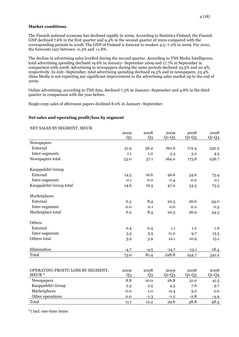# **Market conditions**

The Finnish national economy has declined rapidly in 2009. According to Statistics Finland, the Finnish GNP declined 7.6% in the first quarter and 9.4% in the second quarter of 2009 compared with the corresponding periods in 2008. The GNP of Finland is forecast to weaken 4.5–7.2% in 2009. For 2010, the forecasts vary between -0.3% and +1.8%.

The decline in advertising sales levelled during the second quarter. According to TNS Media Intelligence, total advertising spending declined 19.6% in January–September 2009 and 17.7% in September in comparison with 2008. Advertising in newspapers during the same periods declined 23.5% and 20.9%, respectively. In July–September, total advertising spending declined 19.5% and in newspapers, 23.4%. Alma Media is not expecting any significant improvement in the advertising sales market up to the end of 2009.

Online advertising, according to TNS data, declined 7.3% in January–September and 4.8% in the third quarter in comparison with the year before.

Single-copy sales of afternoon papers declined 8.0% in January–September.

# **Net sales and operating profit/loss by segment**

| 2009           | 2008                   | 2009           | 2008               | 2008                        |
|----------------|------------------------|----------------|--------------------|-----------------------------|
|                |                        |                |                    | $Q1-Q4$                     |
|                |                        |                |                    |                             |
| 51.9           | 56.2                   | 160.6          | 172.4              | 232.2                       |
| 1.1            | 1.0                    | 3.3            | 3.2                | 4.5                         |
| 53.0           | 57.1                   | 164.0          | 175.6              | 236.7                       |
|                |                        |                |                    |                             |
| 14.5           | 16.6                   | 46.6           | 54.6               | 73.4                        |
| 0.1            | 0.0                    | 0.4            | 0.0                | 0.1                         |
| 14.6           | 16.5                   | 47.0           | 54.5               | 73.5                        |
|                |                        |                |                    |                             |
| 6.3            | 8.4                    | 20.5           | 26.6               | 34.0                        |
| 0.0            | 0.1                    | 0.0            | 0.2                | 0.3                         |
| 6.2            | 8.4                    | 20.5           | 26.9               | 34.3                        |
|                |                        |                |                    |                             |
| 0.4            | 0.4                    | 1.1            | 1.2                | 1.6                         |
| 3.5            | 3.5                    | 11.0           | 9.7                | 13.5                        |
| 3.9            | 3.9                    | 12.1           | 10.9               | 15.1                        |
| $-4.7$         | $-4.5$                 | $-14.7$        | $-13.1$            | $-18.4$                     |
|                | 81.4                   | 228.8          |                    | 341.2                       |
|                |                        |                |                    |                             |
| 2009           | 2008                   | 2009           | 2008               | 2008                        |
| Q <sub>3</sub> | Q <sub>3</sub>         |                |                    | $Q1-Q4$                     |
| 8.8            | 10.0                   | 26.8           | 31.0               | 41.5                        |
| 2.3            | 2.5                    | 4.3            | 7.6                | 9.7                         |
| 0.0            | 1.0                    | $-0.4$         | 3.0                | 2.0                         |
| 0.0            | $-1.3$                 | $-1.2$         | $-2.8$             | $-4.9$                      |
|                | Q <sub>3</sub><br>73.0 | Q <sub>3</sub> | $Q1-Q3$<br>$Q1-Q3$ | $Q1-Q3$<br>254.7<br>$Q1-Q3$ |

Total 11.1 12.2 29.6 38.8 48.3

#### NET SALES BY SECMENT, MEUR

\*) incl. one-time items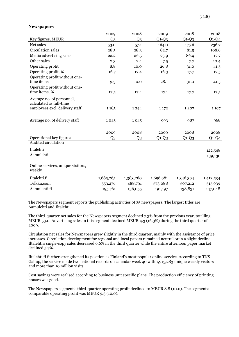#### **Newspapers**

|                                             | 2009           | 2008           | 2009      | 2008      | 2008      |
|---------------------------------------------|----------------|----------------|-----------|-----------|-----------|
| Key figures, MEUR                           | Q <sub>3</sub> | Q <sub>3</sub> | $Q1-Q3$   | $Q1-Q3$   | $Q1-Q4$   |
| Net sales                                   | 53.0           | 57.1           | 164.0     | 175.6     | 236.7     |
| <b>Circulation</b> sales                    | 28.5           | 28.3           | 82.7      | 81.5      | 108.6     |
| Media advertising sales                     | 22.2           | 26.5           | 73.9      | 86.4      | 117.7     |
| Other sales                                 | 2.3            | 2.4            | 7.5       | 7.7       | 10.4      |
| Operating profit                            | 8.8            | 10.0           | 26.8      | 31.0      | 41.5      |
| Operating profit, %                         | 16.7           | 17.4           | 16.3      | 17.7      | 17.5      |
| Operating profit without one-               |                |                |           |           |           |
| time items                                  | 9.3            | 10.0           | 28.1      | 31.0      | 41.5      |
| Operating profit without one-               |                |                |           |           |           |
| time items, %                               | 17.5           | 17.4           | 17.1      | 17.7      | 17.5      |
| Average no. of personnel,                   |                |                |           |           |           |
| calculated as full-time                     |                |                |           |           |           |
| employees excl. delivery staff              | 1185           | 1244           | 1 1 7 2   | 1207      | 1 1 9 7   |
|                                             |                |                |           |           |           |
| Average no. of delivery staff               | 1045           | 1045           | 993       | 987       | 968       |
|                                             |                |                |           |           |           |
|                                             | 2009           | 2008           | 2009      | 2008      | 2008      |
| Operational key figures                     | Q <sub>3</sub> | Q <sub>3</sub> | $Q1-Q3$   | $Q1-Q3$   | $Q1-Q4$   |
| Audited circulation                         |                |                |           |           |           |
| Iltalehti                                   |                |                |           |           | 122,548   |
| Aamulehti                                   |                |                |           |           | 139,130   |
|                                             |                |                |           |           |           |
| Online services, unique visitors,<br>weekly |                |                |           |           |           |
| Iltalehti.fi                                | 1,685,265      | 1,383,260      | 1,696,981 | 1,346,394 | 1,412,534 |
| Telkku.com                                  | 553,276        | 488,791        | 573,088   | 507,212   | 515,939   |
| Aamulehti.fi                                | 195,761        | 136,055        | 191,197   | 138,831   | 147,048   |
|                                             |                |                |           |           |           |

The Newspapers segment reports the publishing activities of 35 newspapers. The largest titles are Aamulehti and Iltalehti.

The third-quarter net sales for the Newspapers segment declined 7.3% from the previous year, totalling MEUR 53.0. Advertising sales in this segment declined MEUR 4.3 (16.3%) during the third quarter of 2009.

Circulation net sales for Newspapers grew slightly in the third quarter, mainly with the assistance of price increases. Circulation development for regional and local papers remained neutral or in a slight decline. Iltalehti's single-copy sales decreased 6.6% in the third quarter while the entire afternoon paper market declined 5.7%.

Iltalehti.fi further strengthened its position as Finland's most popular online service. According to TNS Gallup, the service made two national records on calendar week 40 with 1,915,283 unique weekly visitors and more than 10 million visits.

Cost savings were realised according to business unit specific plans. The production efficiency of printing houses was good.

The Newspapers segment's third-quarter operating profit declined to MEUR 8.8 (10.0). The segment's comparable operating profit was MEUR 9.3 (10.0).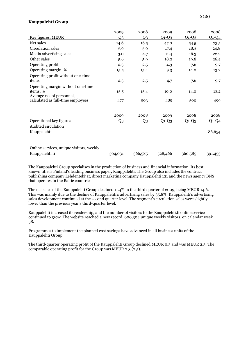# **Kauppalehti Group**

|                                          | 2009           | 2008           | 2009    | 2008    | 2008    |
|------------------------------------------|----------------|----------------|---------|---------|---------|
| Key figures, MEUR                        | Q3             | Q <sub>3</sub> | $Q1-Q3$ | $Q1-Q3$ | $Q1-Q4$ |
| Net sales                                | 14.6           | 16.5           | 47.0    | 54.5    | 73.5    |
| Circulation sales                        | 5.9            | 5.9            | 17.4    | 18.3    | 24.8    |
| Media advertising sales                  | 3.0            | 4.7            | 11.4    | 16.3    | 22.2    |
| Other sales                              | 5.6            | 5.9            | 18.2    | 19.8    | 26.4    |
| Operating profit                         | 2.3            | 2.5            | 4.3     | 7.6     | 9.7     |
| Operating margin, %                      | 15.5           | 15.4           | 9.3     | 14.0    | 13.2    |
| Operating profit without one-time        |                |                |         |         |         |
| items                                    | 2.3            | 2.5            | 4.7     | 7.6     | 9.7     |
| Operating margin without one-time        |                |                |         |         |         |
| items, %                                 | 15.5           | 15.4           | 10.0    | 14.0    | 13.2    |
| Average no. of personnel,                |                |                |         |         |         |
| calculated as full-time employees        | 477            | 503            | 485     | 500     | 499     |
|                                          |                |                |         |         |         |
|                                          | 2009           | 2008           | 2009    | 2008    | 2008    |
| Operational key figures                  | Q <sub>3</sub> | Q <sub>3</sub> | $Q1-Q3$ | $Q1-Q3$ | $Q1-Q4$ |
| Audited circulation                      |                |                |         |         |         |
| Kauppalehti                              |                |                |         |         | 86,654  |
|                                          |                |                |         |         |         |
|                                          |                |                |         |         |         |
| Online services, unique visitors, weekly |                |                |         |         |         |
| Kauppalehti.fi                           | 504,031        | 366,585        | 528,466 | 360,585 | 391,453 |

The Kauppalehti Group specialises in the production of business and financial information. Its best known title is Finland's leading business paper, Kauppalehti. The Group also includes the contract publishing company Lehdentekijät, direct marketing company Kauppalehti 121 and the news agency BNS that operates in the Baltic countries.

The net sales of the Kauppalehti Group declined 11.4% in the third quarter of 2009, being MEUR 14.6. This was mainly due to the decline of Kauppalehti's advertising sales by 35.8%. Kauppalehti's advertising sales development continued at the second quarter level. The segment's circulation sales were slightly lower than the previous year's third-quarter level.

Kauppalehti increased its readership, and the number of visitors to the Kauppalehti.fi online service continued to grow. The website reached a new record, 600,304 unique weekly visitors, on calendar week 38.

Programmes to implement the planned cost savings have advanced in all business units of the Kauppalehti Group.

The third-quarter operating profit of the Kauppalehti Group declined MEUR 0.3 and was MEUR 2.3. The comparable operating profit for the Group was MEUR 2.3 (2.5).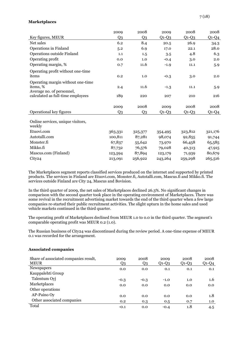# **Marketplaces**

|                                                                            | 2009           | 2008    | 2009    | 2008    | 2008    |
|----------------------------------------------------------------------------|----------------|---------|---------|---------|---------|
| Key figures, MEUR                                                          | Q <sub>3</sub> | Q3      | $Q1-Q3$ | $Q1-Q3$ | $Q1-Q4$ |
| Net sales                                                                  | 6.2            | 8.4     | 20.5    | 26.9    | 34.3    |
| Operations in Finland                                                      | 5.2            | 6.9     | 17.0    | 22.1    | 28.0    |
| Operations outside Finland                                                 | 1.1            | 1.5     | 3.5     | 4.8     | 6.3     |
| Operating profit                                                           | 0.0            | 1.0     | $-0.4$  | 3.0     | 2.0     |
| Operating margin, %                                                        | 0.7            | 11.6    | $-1.9$  | 11.1    | 5.9     |
| Operating profit without one-time<br>items                                 | 0.2            | 1.0     | $-0.3$  | 3.0     | 2.0     |
| Operating margin without one-time<br>items, %<br>Average no. of personnel, | 2.4            | 11.6    | $-1.3$  | 11.1    | 5.9     |
| calculated as full-time employees                                          | 189            | 220     | 207     | 210     | 216     |
|                                                                            | 2009           | 2008    | 2009    | 2008    | 2008    |
| Operational key figures                                                    | Q <sub>3</sub> | Q3      | $Q1-Q3$ | $Q1-Q3$ | $Q1-Q4$ |
| Online services, unique visitors,<br>weekly                                |                |         |         |         |         |
| Etuovi.com                                                                 | 363,331        | 325,377 | 354,495 | 323,812 | 321,176 |
| Autotalli.com                                                              | 100,811        | 87,281  | 98,074  | 92,855  | 91,744  |
| Monster.fi                                                                 | 67,837         | 55,642  | 73,970  | 66,458  | 65,585  |
| Mikko.fi                                                                   | 87,732         | 76,576  | 79,028  | 40,313  | 47,915  |
| Mascus.com (Finland)                                                       | 123,594        | 87,894  | 123,179 | 71,939  | 80,679  |
| City24                                                                     | 213,091        | 256,922 | 243,264 | 259,298 | 265,516 |

The Marketplaces segment reports classified services produced on the internet and supported by printed products. The services in Finland are Etuovi.com, Monster.fi, Autotalli.com, Mascus.fi and Mikko.fi. The services outside Finland are City 24, Mascus and Bovision.

In the third quarter of 2009, the net sales of Marketplaces declined 26.3%. No significant changes in comparison with the second quarter took place in the operating environment of Marketplaces. There was some revival in the recruitment advertising market towards the end of the third quarter when a few large companies re-started their public recruitment activities. The slight upturn in the home sales and used vehicle markets continued in the third quarter.

The operating profit of Marketplaces declined from MEUR 1.0 to 0.0 in the third quarter. The segment's comparable operating profit was MEUR 0.2 (1.0).

The Russian business of City24 was discontinued during the review period. A one-time expense of MEUR 0.1 was recorded for the arrangement.

| Share of associated companies result,<br><b>MEUR</b> | 2009<br>Q3 | 2008<br>Q3 | 2009<br>$Q1-Q3$ | 2008<br>$Q1-Q3$ | 2008<br>$Q1-Q4$ |
|------------------------------------------------------|------------|------------|-----------------|-----------------|-----------------|
| Newspapers                                           | 0.0        | 0.0        | 0.1             | 0.1             | 0.1             |
| Kauppalehti Group                                    |            |            |                 |                 |                 |
| Talentum Oyj                                         | $-0.3$     | $-0.3$     | $-1.0$          | 1.0             | 1.6             |
| Marketplaces                                         | 0.0        | 0.0        | 0.0             | 0.0             | 0.0             |
| Other operations                                     |            |            |                 |                 |                 |
| AP-Paino Oy                                          | 0.0        | 0.0        | 0.0             | 0.0             | 1.8             |
| Other associated companies                           | 0.2        | 0.3        | 0.5             | 0.7             | 1.0             |
| Total                                                | $-0.1$     | 0.0        | $-0.4$          | 1.8             | 4.5             |

#### **Associated companies**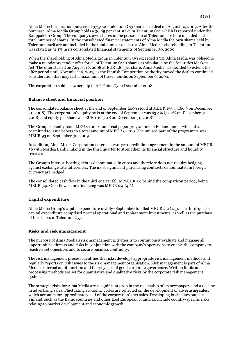Alma Media Corporation purchased 375,000 Talentum Oyj shares in a deal on August 10, 2009. After the purchase, Alma Media Group holds a 30.65 per cent stake in Talentum Oyj, which is reported under the Kauppalehti Group. The company's own shares in the possession of Talentum are here included in the total number of shares. In the consolidated financial statements of Alma Media the own shares held by Talentum itself are not included in the total number of shares. Alma Media's shareholding in Talentum was stated as 31.1% in its consolidated financial statements of September 30, 2009.

When the shareholding of Alma Media group in Talentum Oyj exceeded 3/10, Alma Media was obliged to make a mandatory tender offer for all of Talentum Oyj's shares as stipulated by the Securities Markets Act. The offer started on August 19, 2008 at EUR 1.85 per share. Alma Media has decided to extend the offer period until November 16, 2009 as the Finnish Competition Authority moved the deal to continued consideration that may last a maximum of three months on September 9, 2009.

The corporation sold its ownership in AP-Paino Oy in December 2008.

# **Balance sheet and financial position**

The consolidated balance sheet at the end of September 2009 stood at MEUR 155.4 (166.9 on December 31, 2008). The corporation's equity ratio at the end of September was 63.4% (57.2% on December 31, 2008) and equity per share was EUR 1.16 (1.18 on December 31, 2008).

The Group currently has a MEUR 100 commercial paper programme in Finland under which it is permitted to issue papers to a total amount of MEUR 0–100. The unused part of the programme was MEUR 93 on September 30, 2009.

In addition, Alma Media Corporation entered a two-year credit limit agreement in the amount of MEUR 50 with Nordea Bank Finland in the third quarter to strengthen its financial structure and liquidity reserves.

The Group's interest-bearing debt is denominated in euros and therefore does not require hedging against exchange rate differences. The most significant purchasing contracts denominated in foreign currency are hedged.

The consolidated cash flow in the third quarter fell to MEUR 1.9 behind the comparison period, being MEUR 3.9. Cash flow before financing was MEUR 2.4 (4.6).

#### **Capital expenditure**

Alma Media Group's capital expenditure in July–September totalled MEUR 2.2 (1.5). The third-quarter capital expenditure comprised normal operational and replacement investments, as well as the purchase of the shares in Talentum Oyj.

#### **Risks and risk management**

The purpose of Alma Media's risk management activities is to continuously evaluate and manage all opportunities, threats and risks in conjunction with the company's operations to enable the company to reach its set objectives and to secure business continuity.

The risk management process identifies the risks, develops appropriate risk management methods and regularly reports on risk issues to the risk management organisation. Risk management is part of Alma Media's internal audit function and thereby part of good corporate governance. Written limits and processing methods are set for quantitative and qualitative risks by the corporate risk management system.

The strategic risks for Alma Media are a significant drop in the readership of its newspapers and a decline in advertising sales. Fluctuating economic cycles are reflected on the development of advertising sales, which accounts for approximately half of the corporation's net sales. Developing businesses outside Finland, such as the Baltic countries and other East European countries, include country-specific risks relating to market development and economic growth.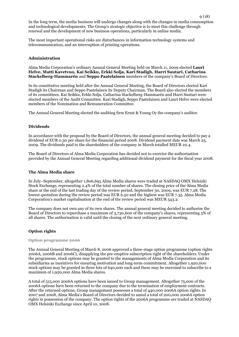In the long term, the media business will undergo changes along with the changes in media consumption and technological developments. The Group's strategic objective is to meet this challenge through renewal and the development of new business operations, particularly in online media.

The most important operational risks are disturbances in information technology systems and telecommunication, and an interruption of printing operations.

# **Administration**

Alma Media Corporation's ordinary Annual General Meeting held on March 11, 2009 elected **Lauri Helve, Matti Kavetvuo, Kai Seikku, Erkki Solja, Kari Stadigh, Harri Suutari, Catharina Stackelberg-Hammarén** and **Seppo Paatelainen** members of the company's Board of Directors.

In its constitutive meeting held after the Annual General Meeting, the Board of Directors elected Kari Stadigh its Chairman and Seppo Paatelainen its Deputy Chairman. The Board also elected the members of its committees. Kai Seikku, Erkki Solja, Catharina Stackelberg-Hammarén and Harri Suutari were elected members of the Audit Committee. Kari Stadigh, Seppo Paatelainen and Lauri Helve were elected members of the Nomination and Remuneration Committee.

The Annual General Meeting elected the auditing firm Ernst & Young Oy the company's auditor.

# **Dividends**

In accordance with the proposal by the Board of Directors, the annual general meeting decided to pay a dividend of EUR 0.30 per share for the financial period 2008. Dividend payment date was March 25, 2009. The dividends paid to the shareholders of the company in March totalled MEUR 22.4.

The Board of Directors of Alma Media Corporation has decided not to exercise the authorisation provided by the Annual General Meeting regarding additional dividend payment for the fiscal year 2008.

#### **The Alma Media share**

In July–September, altogether 1,806,695 Alma Media shares were traded at NASDAQ OMX Helsinki Stock Exchange, representing 2.4% of the total number of shares. The closing price of the Alma Media share at the end of the last trading day of the review period, September 30, 2009, was EUR 7.28. The lowest quotation during the review period was EUR 6.50 and the highest was EUR 7.35. Alma Media Corporation's market capitalisation at the end of the review period was MEUR 543.2.

The company does not own any of its own shares. The annual general meeting decided to authorise the Board of Directors to repurchase a maximum of 3,730,600 of the company's shares, representing 5% of all shares. The authorisation is valid until the closing of the next ordinary general meeting.

# **Option rights**

#### **Option programme 2006**

The Annual General Meeting of March 8, 2006 approved a three-stage option programme (option rights 2006A, 2006B and 2006C), disapplying the pre-emptive subscription right of the shareholders. Under the programme, stock options may be granted to the managements of Alma Media Corporation and its subsidiaries as incentives for ensuring motivation and long-term commitment. Altogether 1,920,000 stock options may be granted in three lots of 640,000 each and these may be exercised to subscribe to a maximum of 1,920,000 Alma Media shares.

A total of 515,000 2006A options have been issued to Group management. Altogether 75,000 of the 2006A options have been returned to the company due to the termination of employment contracts. After the returned options, Group management possesses a total of 440,000 2006A option rights. In 2007 and 2008, Alma Media's Board of Directors decided to annul a total of 200,000 2006A option rights in possession of the company. The option rights of the 2006A programme are traded at NASDAQ OMX Helsinki Exchange since April 10, 2008.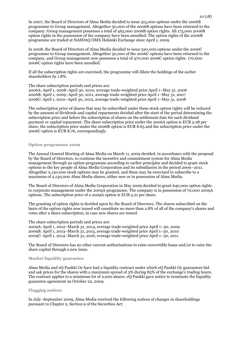In 2007, the Board of Directors of Alma Media decided to issue 515,000 options under the 2006B programme to Group management. Altogether 50,000 of the 2006B options have been returned to the company. Group management possesses a total of 465,000 2006B option rights. All 175,000 2006B option rights in the possession of the company have been annulled. The option rights of the 2006B programme are traded at NASDAQ OMX Helsinki Exchange since April 1, 2009.

In 2008, the Board of Directors of Alma Media decided to issue 520,000 options under the 2006C programme to Group management. Altogether 50,000 of the 2006C options have been returned to the company, and Group management now possesses a total of 470,000 2006C option rights. 170,000 2006C option rights have been annulled.

If all the subscription rights are exercised, the programme will dilute the holdings of the earlier shareholders by 1.8%.

The share subscription periods and prices are:

2006A: April 1, 2008–April 30, 2010, average trade-weighted price April 1–May 31, 2006 2006B: April 1, 2009–April 30, 2011, average trade-weighted price April 1–May 31, 2007 2006C: April 1, 2010–April 30, 2012, average trade-weighted price April 1–May 31, 2008

The subscription price of shares that may be subscribed under these stock option rights will be reduced by the amount of dividends and capital repayments decided after the start of the period determining the subscription price and before the subscription of shares on the settlement date for each dividend payment or capital repayment. The share subscription price under the 2006A option is EUR 5.28 per share, the subscription price under the 2006B option is EUR 8.65 and the subscription price under the 2006C option is EUR 8.76, correspondingly.

#### **Option programme 2009**

The Annual General Meeting of Alma Media on March 11, 2009 decided, in accordance with the proposal by the Board of Directors, to continue the incentive and commitment system for Alma Media management through an option programme according to earlier principles and decided to grant stock options to the key people of Alma Media Corporation and its subsidiaries in the period 2009–2011. Altogether 2,130,000 stock options may be granted, and these may be exercised to subscribe to a maximum of 2,130,000 Alma Media shares, either new or in possession of Alma Media.

The Board of Directors of Alma Media Corporation in May 2009 decided to grant 640,000 option rights to corporate management under the 2009A programme. The company is in possession of 70,000 2009A options. The subscription price of a 2009A option is EUR 5.21 per share.

The granting of option rights is decided upon by the Board of Directors. The shares subscribed on the basis of the option rights now issued will constitute no more than 2.8% of all of the company's shares and votes after a share subscription, in case new shares are issued.

The share subscription periods and prices are:

2009A: April 1, 2012–March 31, 2014, average trade-weighted price April 1–30, 2009 2009B: April 1, 2013–March 31, 2015, average trade-weighted price April 1–30, 2010 2009C: April 1, 2014–March 31, 2016, average trade-weighted price April 1–30, 2011

The Board of Directors has no other current authorisations to raise convertible loans and/or to raise the share capital through a new issue.

#### **Market liquidity guarantee**

Alma Media and eQ Pankki Oy have had a liquidity contract under which eQ Pankki Oy guarantees bid and ask prices for the shares with a maximum spread of 3% during 85% of the exchange's trading hours. The contract applies to a minimum lot of 2,000 shares. eQ Pankki gave notice to terminate the liquidity guarantee agreement on October 22, 2009.

#### **Flagging notices**

In July–September 2009, Alma Media received the following notices of changes in shareholdings pursuant to Chapter 2, Section 9 of the Securities Act: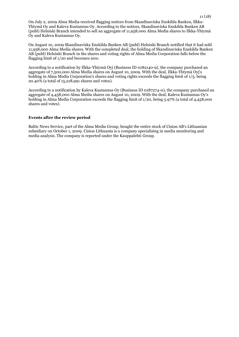On July 2, 2009 Alma Media received flagging notices from Skandinaviska Enskilda Banken, Ilkka-Yhtymä Oy and Kaleva Kustannus Oy. According to the notices, Skandinaviska Enskilda Banken AB (publ) Helsinki Branch intended to sell an aggregate of 11,958,000 Alma Media shares to Ilkka-Yhtymä Oy and Kaleva Kustannus Oy.

On August 10, 2009 Skandinaviska Enskilda Banken AB (publ) Helsinki Branch notified that it had sold 11,958,000 Alma Media shares. With the completed deal, the holding of Skandinaviska Enskilda Banken AB (publ) Helsinki Branch in the shares and voting rights of Alma Media Corporation falls below the flagging limit of 1/20 and becomes zero.

According to a notification by Ilkka-Yhtymä Oyj (Business ID 0182140-9), the company purchased an aggregate of 7,500,000 Alma Media shares on August 10, 2009. With the deal, Ilkka-Yhtymä Oyj's holding in Alma Media Corporation's shares and voting rights exceeds the flagging limit of 1/5, being 20.40% (a total of 15,218,991 shares and votes).

According to a notification by Kaleva Kustannus Oy (Business ID 0187274-0), the company purchased an aggregate of 4,458,000 Alma Media shares on August 10, 2009. With the deal, Kaleva Kustannus Oy's holding in Alma Media Corporation exceeds the flagging limit of 1/20, being 5.97% (a total of 4,458,000 shares and votes).

# **Events after the review period**

Baltic News Service, part of the Alma Media Group, bought the entire stock of Cision AB's Lithuanian subsidiary on October 1, 2009. Cision Lithuania is a company specialising in media monitoring and media analysis. The company is reported under the Kauppalehti Group.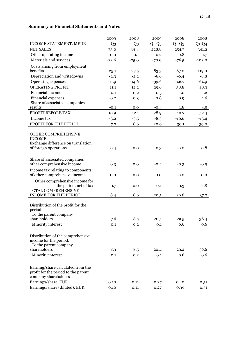# **Summary of Financial Statements and Notes**

|                                                                                                                         | 2009           | 2008           | 2009    | 2008    | 2008     |
|-------------------------------------------------------------------------------------------------------------------------|----------------|----------------|---------|---------|----------|
| INCOME STATEMENT, MEUR                                                                                                  | Q <sub>3</sub> | Q <sub>3</sub> | $Q1-Q3$ | $Q1-Q3$ | $Q1-Q4$  |
| <b>NET SALES</b>                                                                                                        | 73.0           | 81.4           | 228.8   | 254.7   | 341.2    |
| Other operating income                                                                                                  | 0.0            | 0.1            | 0.2     | 0.8     | 1.7      |
| Materials and services                                                                                                  | $-22.6$        | $-25.0$        | $-70.0$ | $-76.5$ | $-102.0$ |
| Costs arising from employment                                                                                           |                |                |         |         |          |
| benefits                                                                                                                | $-25.1$        | $-27.5$        | $-83.3$ | $-87.0$ | $-119.0$ |
| Depreciation and writedowns                                                                                             | $-2.3$         | $-2.2$         | $-6.6$  | $-6.4$  | $-8.8$   |
| Operating expenses                                                                                                      | $-11.9$        | $-14.6$        | $-39.6$ | $-46.7$ | $-64.9$  |
| <b>OPERATING PROFIT</b>                                                                                                 | 11.1           | 12.2           | 29.6    | 38.8    | 48.3     |
| Financial income                                                                                                        | 0.1            | 0.2            | 0.5     | 1.0     | 1.2      |
| Financial expenses                                                                                                      | $-0.2$         | $-0.3$         | $-0.8$  | $-0.9$  | $-1.6$   |
| Share of associated companies'<br>results                                                                               |                |                |         |         |          |
| PROFIT BEFORE TAX                                                                                                       | $-0.1$         | 0.0            | $-0.4$  | 1.8     | 4.5      |
|                                                                                                                         | 10.9           | 12.1           | 28.9    | 40.7    | 52.4     |
| Income tax                                                                                                              | $-3.2$         | $-3.5$         | $-8.3$  | $-10.6$ | $-13.4$  |
| PROFIT FOR THE PERIOD                                                                                                   | 7.7            | 8.6            | 20.6    | 30.1    | 39.0     |
| OTHER COMPREHENSIVE<br><b>INCOME</b><br>Exchange difference on translation<br>of foreign operations                     | 0.4            | 0.0            | 0.3     | 0.0     | $-0.8$   |
|                                                                                                                         |                |                |         |         |          |
| Share of associated companies'                                                                                          |                |                |         |         |          |
| other comprehensive income                                                                                              | 0.3            | 0.0            | $-0.4$  | $-0.3$  | $-0.9$   |
| Income tax relating to components                                                                                       |                |                |         |         |          |
| of other comprehensive income                                                                                           | 0.0            | 0.0            | 0.0     | 0.0     | 0.0      |
| Other comprehensive income for                                                                                          |                |                |         |         |          |
| the period, net of tax<br><b>TOTAL COMPREHENSIVE</b>                                                                    | 0.7            | 0.0            | $-0.1$  | $-0.3$  | $-1.8$   |
| <b>INCOME FOR THE PERIOD</b>                                                                                            | 8.4            | 8.6            | 20.5    | 29.8    | 37.2     |
| Distribution of the profit for the<br>period:<br>To the parent company                                                  |                |                |         |         |          |
| shareholders                                                                                                            | 7.6            | 8.5            | 20.5    | 29.5    | 38.4     |
| Minority interest                                                                                                       | 0.1            | 0.2            | 0.1     | 0.6     | 0.6      |
| Distribution of the comprehensive<br>income for the period:<br>To the parent company<br>shareholders                    | 8.3            | 8.5            | 20.4    | 29.2    | 36.6     |
| Minority interest                                                                                                       | 0.1            | 0.2            | 0.1     | 0.6     | 0.6      |
| Earning/share calculated from the<br>profit for the period to the parent<br>company shareholders<br>Earnings/share, EUR | 0.10           | 0.11           | 0.27    | 0.40    | 0.51     |
| Earnings/share (diluted), EUR                                                                                           |                |                |         |         |          |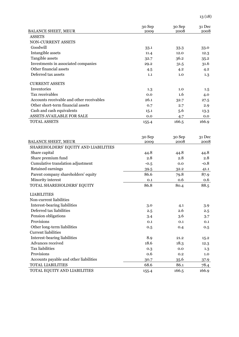| <b>BALANCE SHEET, MEUR</b>                                         | 30 Sep<br>2009 | 30 Sep<br>2008 | 31 Dec<br>2008 |
|--------------------------------------------------------------------|----------------|----------------|----------------|
| <b>ASSETS</b>                                                      |                |                |                |
| NON-CURRENT ASSETS                                                 |                |                |                |
| Goodwill                                                           | 33.1           | 33.3           | 33.0           |
| Intangible assets                                                  | 11.4           | 12.0           | 12.3           |
| Tangible assets                                                    | 32.7           | 36.2           | 35.2           |
| Investments in associated companies                                | 29.2           | 31.5           | 31.6           |
| Other financial assets                                             | 4.5            | 4.2            | 4.2            |
| Deferred tax assets                                                | 1.1            | 1.0            | $1.3\,$        |
| <b>CURRENT ASSETS</b>                                              |                |                |                |
| Inventories                                                        | 1.3            | 1.0            | $1.5\,$        |
| Tax receivables                                                    | 0.0            | 1.6            | 4.0            |
| Accounts receivable and other receivables                          | 26.1           | 32.7           | 27.5           |
| Other short-term financial assets                                  | 0.7            | 2.7            | 2.9            |
| Cash and cash equivalents                                          | 15.1           | 5.6            | 13.3           |
| ASSETS AVAILABLE FOR SALE                                          | 0.0            | 4.7            | 0.0            |
| <b>TOTAL ASSETS</b>                                                | 155.4          | 166.5          | 166.9          |
|                                                                    |                |                |                |
|                                                                    | 30 Sep         | 30 Sep         | 31 Dec         |
| <b>BALANCE SHEET, MEUR</b><br>SHAREHOLDERS' EQUITY AND LIABILITIES | 2009           | 2008           | 2008           |
| Share capital                                                      |                |                |                |
| Share premium fund                                                 | 44.8<br>2.8    | 44.8<br>2.8    | 44.8<br>2.8    |
| Cumulative translation adjustment                                  |                |                | $-0.8$         |
| Retained earnings                                                  | $-0.5$         | 0.0            |                |
| Parent company shareholders' equity                                | 39.5<br>86.6   | 32.2           | 41.1           |
| Minority interest                                                  |                | 79.8<br>0.6    | 87.9           |
| TOTAL SHAREHOLDERS' EQUITY                                         | 0.1<br>86.8    | 80.4           | 0.6<br>88.5    |
| <b>LIABILITIES</b>                                                 |                |                |                |
| Non-current liabilities                                            |                |                |                |
| Interest-bearing liabilities                                       | 3.0            | 4.1            | 3.9            |
| Deferred tax liabilities                                           | 2.5            | 2.6            | 2.5            |
| Pension obligations                                                | 3.4            | 3.6            | 3.7            |
| Provisions                                                         | 0.1            | 0.1            | 0.1            |
| Other long-term liabilities                                        | 0.5            | 0.4            | 0.5            |
| <b>Current liabilities</b>                                         |                |                |                |
| Interest-bearing liabilities                                       | 8.9            | 21.2           | 15.2           |
| Advances received                                                  | 18.6           | 18.3           | 12.3           |
| <b>Tax liabilities</b>                                             | 0.3            | 0.0            | 1.3            |
| Provisions                                                         | 0.6            | 0.2            | 1.0            |
| Accounts payable and other liabilities                             | 30.7           | 35.6           | 37.9           |
| <b>TOTAL LIABILITIES</b>                                           | 68.6           | 86.1           | 78.4           |
| TOTAL EQUITY AND LIABILITIES                                       | 155.4          | 166.5          | 166.9          |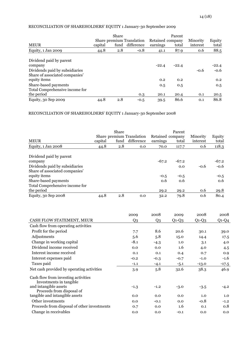# RECONCILIATION OF SHAREHOLDERS' EQUITY 1 January-30 September 2009

|                                | Share   |      |                                         |                              | Parent  |                      |                 |
|--------------------------------|---------|------|-----------------------------------------|------------------------------|---------|----------------------|-----------------|
| <b>MEUR</b>                    | capital | fund | Share premium Translation<br>difference | Retained company<br>earnings | total   | Minority<br>interest | Equity<br>total |
|                                |         |      |                                         |                              |         |                      |                 |
| Equity, $1 \text{ Jan } 2009$  | 44.8    | 2.8  | $-0.8$                                  | 41.1                         | 87.9    | 0.6                  | 88.5            |
| Dividend paid by parent        |         |      |                                         |                              |         |                      |                 |
| company                        |         |      |                                         | $-22.4$                      | $-22.4$ |                      | $-22.4$         |
| Dividends paid by subsidiaries |         |      |                                         |                              |         | $-0.6$               | $-0.6$          |
| Share of associated companies' |         |      |                                         |                              |         |                      |                 |
| equity items                   |         |      |                                         | 0.2                          | 0.2     |                      | 0.2             |
| Share-based payments           |         |      |                                         | 0.5                          | 0.5     |                      | 0.5             |
| Total Comprehensive income for |         |      |                                         |                              |         |                      |                 |
| the period                     |         |      | 0.3                                     | 20.1                         | 20.4    | 0.1                  | 20.5            |
| Equity, 30 Sep 2009            | 44.8    | 2.8  | $-0.5$                                  | 39.5                         | 86.6    | 0.1                  | 86.8            |

RECONCILIATION OF SHAREHOLDERS' EQUITY 1 January-30 September 2008

| <b>MEUR</b>                                                                                                                                                                      | capital | Share<br>fund | Share premium Translation<br>difference | Retained company<br>earnings | Parent<br>total                 | Minority<br>interest | Equity<br>total                    |
|----------------------------------------------------------------------------------------------------------------------------------------------------------------------------------|---------|---------------|-----------------------------------------|------------------------------|---------------------------------|----------------------|------------------------------------|
| Equity, 1 Jan 2008                                                                                                                                                               | 44.8    | 2.8           | 0.0                                     | 70.0                         | 117.7                           | 0.6                  | 118.3                              |
| Dividend paid by parent<br>company<br>Dividends paid by subsidiaries<br>Share of associated companies'<br>equity items<br>Share-based payments<br>Total Comprehensive income for |         |               |                                         | $-67.2$<br>$-0.5$<br>0.6     | $-67.2$<br>0.0<br>$-0.5$<br>0.6 | $-0.6$               | $-67.2$<br>$-0.6$<br>$-0.5$<br>0.6 |
| the period                                                                                                                                                                       |         |               |                                         | 29.2                         | 29.2                            | 0.6                  | 29.8                               |
| Equity, 30 Sep 2008                                                                                                                                                              | 44.8    | 2.8           | 0.0                                     | 32.2                         | 79.8                            | 0.6                  | 80.4                               |

|                                                                | 2009           | 2008           | 2009    | 2008    | 2008    |
|----------------------------------------------------------------|----------------|----------------|---------|---------|---------|
| CASH FLOW STATEMENT, MEUR                                      | Q <sub>3</sub> | Q <sub>3</sub> | $Q1-Q3$ | $Q1-Q3$ | $Q1-Q4$ |
| Cash flow from operating activities                            |                |                |         |         |         |
| Profit for the period                                          | 7.7            | 8.6            | 20.6    | 30.1    | 39.0    |
| Adjustments                                                    | 5.6            | 5.8            | 15.0    | 14.4    | 17.5    |
| Change in working capital                                      | $-8.1$         | $-4.3$         | 1.0     | 3.1     | 4.0     |
| Dividend income received                                       | 0.0            | 0.0            | 1.6     | 4.0     | 4.5     |
| Interest income received                                       | 0.1            | 0.1            | 0.4     | 0.7     | 0.9     |
| Interest expenses paid                                         | $-0.2$         | $-0.3$         | $-0.7$  | $-1.0$  | $-1.6$  |
| Taxes paid                                                     | $-1.1$         | $-4.1$         | $-5.1$  | $-13.0$ | $-17.5$ |
| Net cash provided by operating activities                      | 3.9            | 5.8            | 32.6    | 38.3    | 46.9    |
| Cash flow from investing activities<br>Investments in tangible |                |                |         |         |         |
| and intangible assets<br>Proceeds from disposal of             | $-1.3$         | $-1.2$         | $-3.0$  | $-3.5$  | $-4.2$  |
| tangible and intangible assets                                 | 0.0            | 0.0            | 0.0     | 1.0     | 1.0     |
| Other investments                                              | 0.0            | $-0.1$         | 0.0     | $-0.8$  | $-1.2$  |
| Proceeds from disposal of other investments                    | 0.7            | 0.0            | 1.6     | 0.1     | 0.8     |
| Change in receivables                                          | 0.0            | 0.0            | $-0.1$  | 0.0     | 0.0     |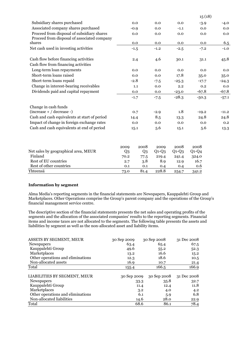|                                                                                           |                |        |         |         | 15(18)  |         |
|-------------------------------------------------------------------------------------------|----------------|--------|---------|---------|---------|---------|
| Subsidiary shares purchased                                                               |                | 0.0    | 0.0     | 0.0     | $-3.9$  | $-4.0$  |
| Associated company shares purchased                                                       |                | $-0.9$ | 0.0     | $-1.1$  | 0.0     | 0.0     |
| Proceed from disposal of subsidiary shares<br>Proceed from disposal of associated company |                | 0.0    | 0.0     | 0.0     | 0.0     | 0.0     |
| shares                                                                                    |                | 0.0    | 0.0     | 0.0     | 0.0     | 6.5     |
| Net cash used in investing activities                                                     |                | $-1.5$ | $-1.2$  | $-2.5$  | $-7.2$  | $-1.0$  |
| Cash flow before financing activities                                                     |                | 2.4    | 4.6     | 30.1    | 31.1    | 45.8    |
| Cash flow from financing activities                                                       |                |        |         |         |         |         |
| Long-term loan repayments                                                                 |                | 0.0    | 0.0     | 0.0     | 0.0     | 0.0     |
| Short-term loans raised                                                                   |                | 0.0    | 0.0     | 17.8    | 35.0    | 35.0    |
| Short-term loans repaid                                                                   |                | $-2.8$ | $-7.5$  | $-25.3$ | $-17.7$ | $-24.3$ |
| Change in interest-bearing receivables                                                    |                | 1.1    | 0.0     | 2.2     | 0.2     | 0.0     |
| Dividends paid and capital repayment                                                      |                | 0.0    | 0.0     | $-23.0$ | $-67.8$ | $-67.8$ |
|                                                                                           |                | $-1.7$ | $-7.5$  | $-28.3$ | $-50.3$ | $-57.1$ |
| Change in cash funds                                                                      |                |        |         |         |         |         |
| $(increase + / decrease -)$                                                               |                | 0.7    | $-2.9$  | 1.8     | $-19.2$ | $-11.2$ |
| Cash and cash equivalents at start of period                                              |                | 14.4   | 8.5     | 13.3    | 24.8    | 24.8    |
| Impact of change in foreign exchange rates                                                |                | 0.0    | 0.0     | 0.0     | 0.0     | 0.2     |
| Cash and cash equivalents at end of period                                                | 15.1           |        | 5.6     | 15.1    | 5.6     | 13.3    |
|                                                                                           | 2009           | 2008   | 2009    | 2008    | 2008    |         |
| Net sales by geographical area, MEUR                                                      | Q <sub>3</sub> | Q3     | $Q1-Q3$ | $Q1-Q3$ | $Q1-Q4$ |         |
| Finland                                                                                   | 70.2           | 77.5   | 219.4   | 241.4   | 324.0   |         |
| Rest of EU countries                                                                      | 2.7            | 3.8    | 8.9     | 12.9    | 16.7    |         |
| Rest of other countries                                                                   | 0.1            | 0.1    | 0.4     | 0.4     | 0.6     |         |
| Yhteensä                                                                                  | 73.0           | 81.4   | 228.8   | 254.7   | 341.2   |         |

# **Information by segment**

Alma Media's reporting segments in the financial statements are Newspapers, Kauppalehti Group and Marketplaces. Other Operations comprise the Group's parent company and the operations of the Group's financial management service centre.

The descriptive section of the financial statements presents the net sales and operating profits of the segments and the allocation of the associated companies' results to the reporting segments. Financial items and income taxes are not allocated to the segments. The following table presents the assets and liabilities by segment as well as the non-allocated asset and liability items.

| ASSETS BY SEGMENT, MEUR           | 30 Sep 2009 | 30 Sep 2008 | 31 Dec 2008 |
|-----------------------------------|-------------|-------------|-------------|
| <b>Newspapers</b>                 | 63.4        | 65.4        | 67.5        |
| Kauppalehti Group                 | 49.6        | 55.2        | 52.3        |
| Marketplaces                      | 13.2        | 16.6        | 15.2        |
| Other operations and eliminations | 12.3        | 18.6        | 10.5        |
| Non-allocated assets              | 16.9        | 10.7        | 21.4        |
| Total                             | 155.4       | 166.5       | 166.9       |
| LIABILITIES BY SEGMENT, MEUR      | 30 Sep 2009 | 30 Sep 2008 | 31 Dec 2008 |
| <b>Newspapers</b>                 | 33.3        | 35.8        | 32.7        |
| Kauppalehti Group                 | 11.4        | 12.4        | 11.8        |
| Marketplaces                      | 3.2         | 4.0         | 4.2         |
| Other operations and eliminations | 6.1         | 5.9         | 6.8         |
| Non-allocated liabilities         | 14.6        | 28.0        | 22.9        |
| Total                             | 68.6        | 86.1        | 78.4        |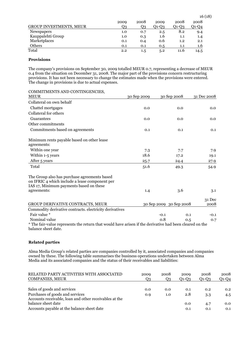|                                | 2009 | 2008    | 2009  | 2008  | 2008         |
|--------------------------------|------|---------|-------|-------|--------------|
| <b>GROUP INVESTMENTS, MEUR</b> | Q3   | Q3      | Q1-Q3 | Q1-Q3 | $Q$ 1- $Q$ 4 |
| Newspapers                     | 1.0  | 0.7     | 2.5   | 8.2   | 9.4          |
| Kauppalehti Group              | 1.0  | 0.3     | 1.6   | 1.1   | $1.4\,$      |
| Marketplaces                   | 0.1  | 0.4     | 0.6   | 1.2   | 2.1          |
| <b>Others</b>                  | 0.1  | 0.1     | 0.5   | 1.1   | 1.6          |
| Total                          | 2.2  | $1.5\,$ | 5.2   | 11.6  | 14.5         |

# **Provisions**

The company's provisions on September 30, 2009 totalled MEUR 0.7, representing a decrease of MEUR 0.4 from the situation on December 31, 2008. The major part of the provisions concern restructuring provisions. It has not been necessary to change the estimates made when the provisions were entered. The change in provisions is due to actual expenses.

| COMMITMENTS AND CONTINGENCIES,<br><b>MEUR</b>                                                                                                            | 30 Sep 2009 | 30 Sep 2008             | 31 Dec 2008 |
|----------------------------------------------------------------------------------------------------------------------------------------------------------|-------------|-------------------------|-------------|
| Collateral on own behalf                                                                                                                                 |             |                         |             |
|                                                                                                                                                          |             |                         |             |
| Chattel mortgages                                                                                                                                        | 0.0         | 0.0                     | 0.0         |
| Collateral for others                                                                                                                                    |             |                         |             |
| Guarantees                                                                                                                                               | 0.0         | 0.0                     | 0.0         |
| Other commitments                                                                                                                                        |             |                         |             |
| Commitments based on agreements                                                                                                                          | 0.1         | 0.1                     | 0.1         |
| Minimum rents payable based on other lease<br>agreements:                                                                                                |             |                         |             |
| Within one year                                                                                                                                          | 7.3         | 7.7                     | 7.9         |
| Within 1-5 years                                                                                                                                         | 18.6        | 17.2                    | 19.1        |
| After 5 years                                                                                                                                            | 25.7        | 24.4                    | 27.9        |
| Total                                                                                                                                                    | 51.6        | 49.3                    | 54.9        |
| The Group also has purchase agreements based<br>on IFRIC 4 which include a lease component per<br>IAS 17, Minimum payments based on these<br>agreements: | 1.4         | 3.6                     | 3.1         |
|                                                                                                                                                          |             |                         | 31 Dec      |
| GROUP DERIVATIVE CONTRACTS, MEUR                                                                                                                         |             | 30 Sep 2009 30 Sep 2008 | 2008        |
| Commodity derivative contracts. electricity derivatives                                                                                                  |             |                         |             |
| Fair value *                                                                                                                                             | $-0.1$      | 0.1                     | $-0.1$      |
| Nominal value                                                                                                                                            | 0.8         | 0.5                     | 0.7         |
| * The fair-value represents the return that would have arisen if the derivative had been cleared on the<br>balance sheet date.                           |             |                         |             |

# **Related parties**

Alma Media Group's related parties are companies controlled by it, associated companies and companies owned by these. The following table summarises the business operations undertaken between Alma Media and its associated companies and the status of their receivables and liabilities:

| RELATED PARTY ACTIVITIES WITH ASSOCIATED<br><b>COMPANIES, MEUR</b>                        | 2009<br>Q3 | 2008<br>Q3 | 2009<br>$Q1-Q3$ | 2008<br>$Q1-Q3$ | 2008<br>$Q1-Q4$ |
|-------------------------------------------------------------------------------------------|------------|------------|-----------------|-----------------|-----------------|
| Sales of goods and services                                                               | 0.0        | 0.0        | 0.1             | 0.2             | 0.2             |
| Purchases of goods and services<br>Accounts receivable, loan and other receivables at the | 0.9        | 1.0        | 2.8             | 3.3             | 4.5             |
| balance sheet date                                                                        |            |            | 0.0             | 4.7             | 0.0             |
| Accounts payable at the balance sheet date                                                |            |            | 0.1             | 0.1             | 0.1             |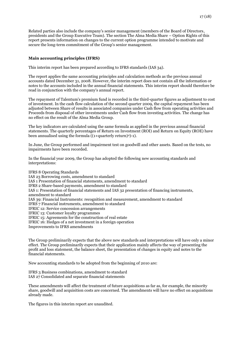Related parties also include the company's senior management (members of the Board of Directors, presidents and the Group Executive Team). The section The Alma Media Share – Option Rights of this report presents information on changes to the current option programme intended to motivate and secure the long-term commitment of the Group's senior management.

# **Main accounting principles (IFRS)**

This interim report has been prepared according to IFRS standards (IAS 34).

The report applies the same accounting principles and calculation methods as the previous annual accounts dated December 31, 2008. However, the interim report does not contain all the information or notes to the accounts included in the annual financial statements. This interim report should therefore be read in conjunction with the company's annual report.

The repayment of Talentum's premium fund is recorded in the third-quarter figures as adjustment to cost of investment. In the cash flow calculation of the second quarter 2009, the capital repayment has been adjusted between Share of results in associated companies under Cash flow from operating activities and Proceeds from disposal of other investments under Cash flow from investing activities. The change has no effect on the result of the Alma Media Group.

The key indicators are calculated using the same formula as applied in the previous annual financial statements. The quarterly percentages of Return on Investment (ROI) and Return on Equity (ROE) have been annualised using the formula ((1+quarterly return)4)-1).

In June, the Group performed and impairment test on goodwill and other assets. Based on the tests, no impairments have been recorded.

In the financial year 2009, the Group has adopted the following new accounting standards and interpretations:

IFRS 8 Operating Standards IAS 23 Borrowing costs, amendment to standard IAS 1 Presentation of financial statements, amendment to standard IFRS 2 Share-based payments, amendment to standard IAS 1: Presentation of financial statements and IAS 32 presentation of financing instruments, amendment to standard IAS 39: Financial Instruments: recognition and measurement, amendment to standard IFRS 7 Financial instruments, amendment to standard IFRIC 12: Service concession arrangements IFRIC 13: Customer loyalty programmes IFRIC 15: Agreements for the construction of real estate IFRIC 16: Hedges of a net investment in a foreign operation Improvements to IFRS amendments

The Group preliminarily expects that the above new standards and interpretations will have only a minor effect. The Group preliminarily expects that their application mainly affects the way of presenting the profit and loss statement, the balance sheet, the presentation of changes in equity and notes to the financial statements.

New accounting standards to be adopted from the beginning of 2010 are:

IFRS 3 Business combinations, amendment to standard IAS 27 Consolidated and separate financial statements

These amendments will affect the treatment of future acquisitions as far as, for example, the minority share, goodwill and acquisition costs are concerned. The amendments will have no effect on acquisitions already made.

The figures in this interim report are unaudited.